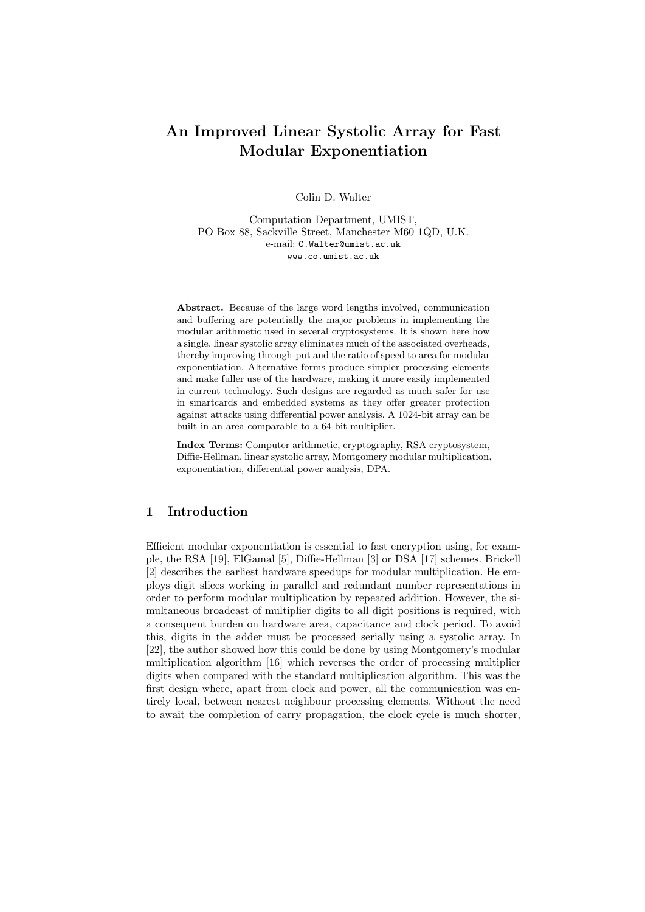# An Improved Linear Systolic Array for Fast Modular Exponentiation

Colin D. Walter

Computation Department, UMIST, PO Box 88, Sackville Street, Manchester M60 1QD, U.K. e-mail: C.Walter@umist.ac.uk www.co.umist.ac.uk

Abstract. Because of the large word lengths involved, communication and buffering are potentially the major problems in implementing the modular arithmetic used in several cryptosystems. It is shown here how a single, linear systolic array eliminates much of the associated overheads, thereby improving through-put and the ratio of speed to area for modular exponentiation. Alternative forms produce simpler processing elements and make fuller use of the hardware, making it more easily implemented in current technology. Such designs are regarded as much safer for use in smartcards and embedded systems as they offer greater protection against attacks using differential power analysis. A 1024-bit array can be built in an area comparable to a 64-bit multiplier.

Index Terms: Computer arithmetic, cryptography, RSA cryptosystem, Diffie-Hellman, linear systolic array, Montgomery modular multiplication, exponentiation, differential power analysis, DPA.

# 1 Introduction

Efficient modular exponentiation is essential to fast encryption using, for example, the RSA [19], ElGamal [5], Diffie-Hellman [3] or DSA [17] schemes. Brickell [2] describes the earliest hardware speedups for modular multiplication. He employs digit slices working in parallel and redundant number representations in order to perform modular multiplication by repeated addition. However, the simultaneous broadcast of multiplier digits to all digit positions is required, with a consequent burden on hardware area, capacitance and clock period. To avoid this, digits in the adder must be processed serially using a systolic array. In [22], the author showed how this could be done by using Montgomery's modular multiplication algorithm [16] which reverses the order of processing multiplier digits when compared with the standard multiplication algorithm. This was the first design where, apart from clock and power, all the communication was entirely local, between nearest neighbour processing elements. Without the need to await the completion of carry propagation, the clock cycle is much shorter,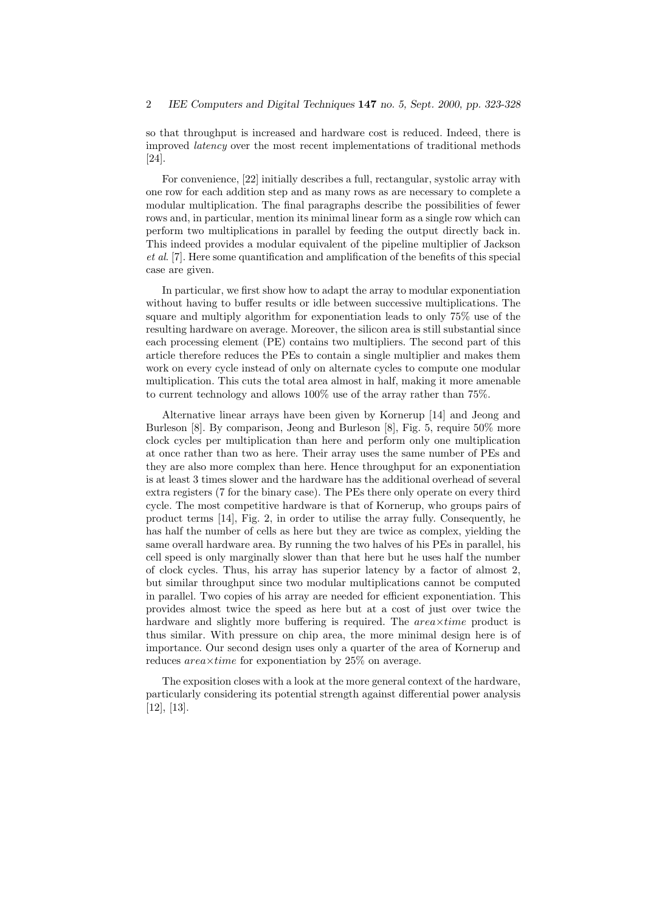so that throughput is increased and hardware cost is reduced. Indeed, there is improved latency over the most recent implementations of traditional methods [24].

For convenience, [22] initially describes a full, rectangular, systolic array with one row for each addition step and as many rows as are necessary to complete a modular multiplication. The final paragraphs describe the possibilities of fewer rows and, in particular, mention its minimal linear form as a single row which can perform two multiplications in parallel by feeding the output directly back in. This indeed provides a modular equivalent of the pipeline multiplier of Jackson et al. [7]. Here some quantification and amplification of the benefits of this special case are given.

In particular, we first show how to adapt the array to modular exponentiation without having to buffer results or idle between successive multiplications. The square and multiply algorithm for exponentiation leads to only 75% use of the resulting hardware on average. Moreover, the silicon area is still substantial since each processing element (PE) contains two multipliers. The second part of this article therefore reduces the PEs to contain a single multiplier and makes them work on every cycle instead of only on alternate cycles to compute one modular multiplication. This cuts the total area almost in half, making it more amenable to current technology and allows 100% use of the array rather than 75%.

Alternative linear arrays have been given by Kornerup [14] and Jeong and Burleson [8]. By comparison, Jeong and Burleson [8], Fig. 5, require 50% more clock cycles per multiplication than here and perform only one multiplication at once rather than two as here. Their array uses the same number of PEs and they are also more complex than here. Hence throughput for an exponentiation is at least 3 times slower and the hardware has the additional overhead of several extra registers (7 for the binary case). The PEs there only operate on every third cycle. The most competitive hardware is that of Kornerup, who groups pairs of product terms [14], Fig. 2, in order to utilise the array fully. Consequently, he has half the number of cells as here but they are twice as complex, yielding the same overall hardware area. By running the two halves of his PEs in parallel, his cell speed is only marginally slower than that here but he uses half the number of clock cycles. Thus, his array has superior latency by a factor of almost 2, but similar throughput since two modular multiplications cannot be computed in parallel. Two copies of his array are needed for efficient exponentiation. This provides almost twice the speed as here but at a cost of just over twice the hardware and slightly more buffering is required. The  $area\times time$  product is thus similar. With pressure on chip area, the more minimal design here is of importance. Our second design uses only a quarter of the area of Kornerup and reduces  $area \times time$  for exponentiation by 25% on average.

The exposition closes with a look at the more general context of the hardware, particularly considering its potential strength against differential power analysis [12], [13].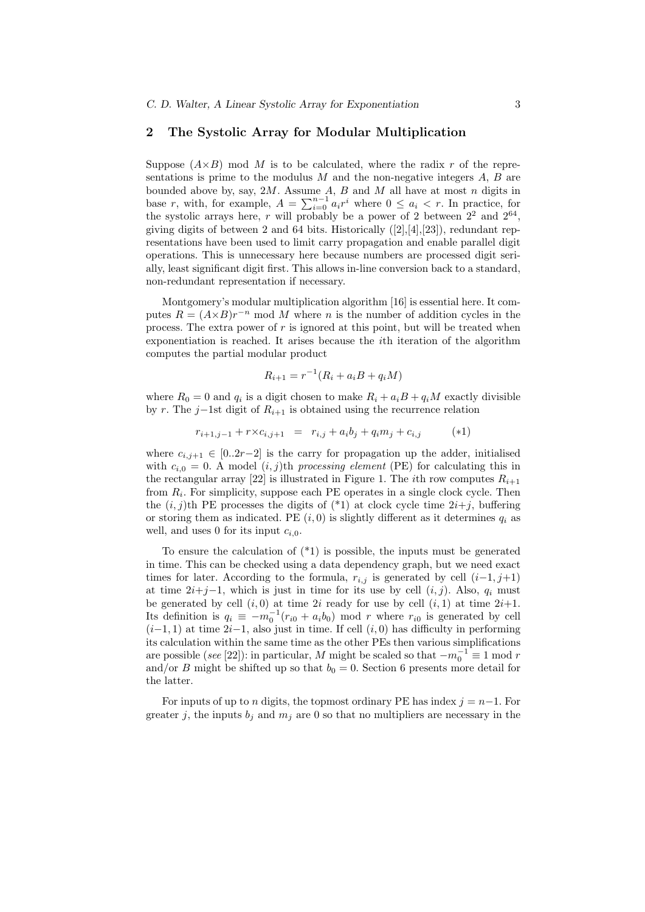# 2 The Systolic Array for Modular Multiplication

Suppose  $(A\times B)$  mod M is to be calculated, where the radix r of the representations is prime to the modulus  $M$  and the non-negative integers  $A, B$  are bounded above by, say,  $2M$ . Assume A, B and M all have at most n digits in base r, with, for example,  $A = \sum_{i=0}^{n-1} a_i r^i$  where  $0 \le a_i < r$ . In practice, for the systolic arrays here, r will probably be a power of 2 between  $2^2$  and  $2^{64}$ , giving digits of between 2 and 64 bits. Historically  $([2], [4], [23])$ , redundant representations have been used to limit carry propagation and enable parallel digit operations. This is unnecessary here because numbers are processed digit serially, least significant digit first. This allows in-line conversion back to a standard, non-redundant representation if necessary.

Montgomery's modular multiplication algorithm [16] is essential here. It computes  $R = (A \times B)r^{-n}$  mod M where n is the number of addition cycles in the process. The extra power of r is ignored at this point, but will be treated when exponentiation is reached. It arises because the ith iteration of the algorithm computes the partial modular product

$$
R_{i+1} = r^{-1}(R_i + a_i B + q_i M)
$$

where  $R_0 = 0$  and  $q_i$  is a digit chosen to make  $R_i + a_iB + q_iM$  exactly divisible by r. The j–1st digit of  $R_{i+1}$  is obtained using the recurrence relation

$$
r_{i+1,j-1} + r \times c_{i,j+1} = r_{i,j} + a_i b_j + q_i m_j + c_{i,j} \qquad (*)
$$

where  $c_{i,j+1} \in [0..2r-2]$  is the carry for propagation up the adder, initialised with  $c_{i,0} = 0$ . A model  $(i, j)$ th processing element (PE) for calculating this in the rectangular array [22] is illustrated in Figure 1. The *i*th row computes  $R_{i+1}$ from  $R_i$ . For simplicity, suppose each PE operates in a single clock cycle. Then the  $(i, j)$ th PE processes the digits of  $(*1)$  at clock cycle time  $2i+j$ , buffering or storing them as indicated. PE  $(i, 0)$  is slightly different as it determines  $q_i$  as well, and uses 0 for its input  $c_{i,0}$ .

To ensure the calculation of  $(*1)$  is possible, the inputs must be generated in time. This can be checked using a data dependency graph, but we need exact times for later. According to the formula,  $r_{i,j}$  is generated by cell  $(i-1, j+1)$ at time  $2i+j-1$ , which is just in time for its use by cell  $(i, j)$ . Also,  $q_i$  must be generated by cell  $(i, 0)$  at time 2i ready for use by cell  $(i, 1)$  at time  $2i+1$ . Its definition is  $q_i \equiv -m_0^{-1}(r_{i0} + a_i b_0)$  mod r where  $r_{i0}$  is generated by cell  $(i-1, 1)$  at time  $2i-1$ , also just in time. If cell  $(i, 0)$  has difficulty in performing its calculation within the same time as the other PEs then various simplifications are possible (see [22]): in particular, M might be scaled so that  $-m_0^{-1} \equiv 1 \mod r$ and/or B might be shifted up so that  $b_0 = 0$ . Section 6 presents more detail for the latter.

For inputs of up to n digits, the topmost ordinary PE has index  $j = n-1$ . For greater j, the inputs  $b_i$  and  $m_i$  are 0 so that no multipliers are necessary in the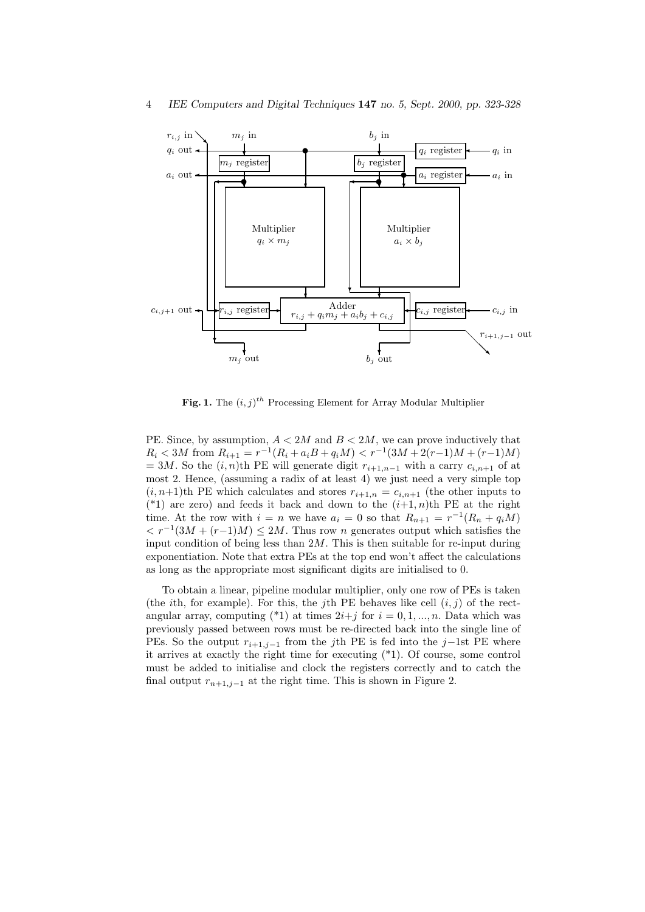

Fig. 1. The  $(i, j)^{th}$  Processing Element for Array Modular Multiplier

PE. Since, by assumption,  $A < 2M$  and  $B < 2M$ , we can prove inductively that  $R_i < 3M$  from  $R_{i+1} = r^{-1}(R_i + a_iB + q_iM) < r^{-1}(3M + 2(r-1)M + (r-1)M)$ = 3M. So the  $(i, n)$ th PE will generate digit  $r_{i+1,n-1}$  with a carry  $c_{i,n+1}$  of at most 2. Hence, (assuming a radix of at least 4) we just need a very simple top  $(i, n+1)$ th PE which calculates and stores  $r_{i+1,n} = c_{i,n+1}$  (the other inputs to (\*1) are zero) and feeds it back and down to the  $(i+1, n)$ th PE at the right time. At the row with  $i = n$  we have  $a_i = 0$  so that  $R_{n+1} = r^{-1}(R_n + q_i M)$  $\langle r^{-1}(3M + (r-1)M) \le 2M$ . Thus row *n* generates output which satisfies the input condition of being less than  $2M$ . This is then suitable for re-input during exponentiation. Note that extra PEs at the top end won't affect the calculations as long as the appropriate most significant digits are initialised to 0.

To obtain a linear, pipeline modular multiplier, only one row of PEs is taken (the *i*th, for example). For this, the *j*th PE behaves like cell  $(i, j)$  of the rectangular array, computing (\*1) at times  $2i+j$  for  $i=0,1,...,n$ . Data which was previously passed between rows must be re-directed back into the single line of PEs. So the output  $r_{i+1,j-1}$  from the j<sup>th</sup> PE is fed into the j-1st PE where it arrives at exactly the right time for executing (\*1). Of course, some control must be added to initialise and clock the registers correctly and to catch the final output  $r_{n+1,j-1}$  at the right time. This is shown in Figure 2.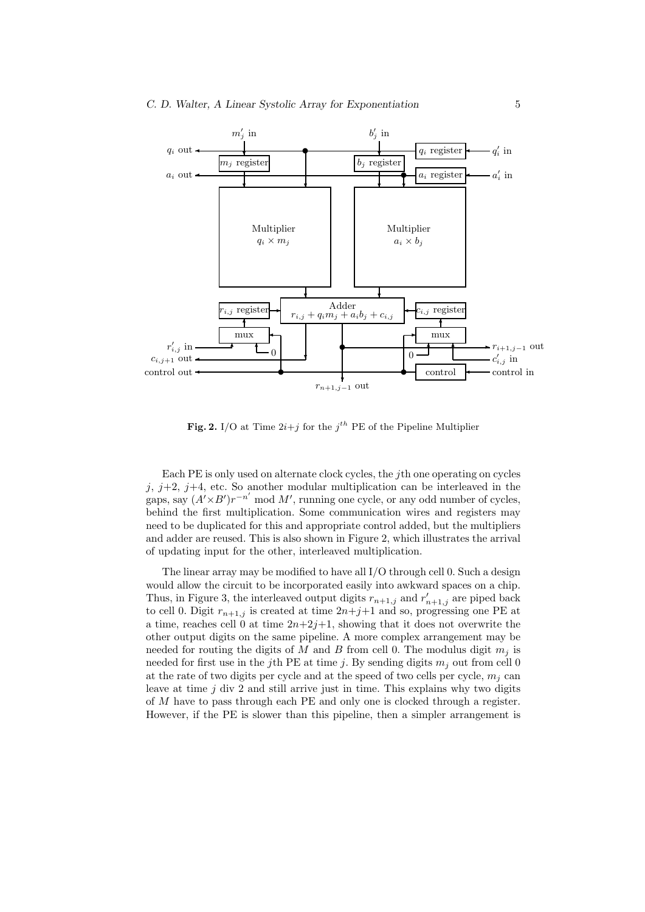

**Fig. 2.** I/O at Time  $2i+j$  for the  $j<sup>th</sup>$  PE of the Pipeline Multiplier

Each PE is only used on alternate clock cycles, the jth one operating on cycles j,  $j+2$ ,  $j+4$ , etc. So another modular multiplication can be interleaved in the gaps, say  $(A' \times B')r^{-n'}$  mod M', running one cycle, or any odd number of cycles, behind the first multiplication. Some communication wires and registers may need to be duplicated for this and appropriate control added, but the multipliers and adder are reused. This is also shown in Figure 2, which illustrates the arrival of updating input for the other, interleaved multiplication.

The linear array may be modified to have all I/O through cell 0. Such a design would allow the circuit to be incorporated easily into awkward spaces on a chip. Thus, in Figure 3, the interleaved output digits  $r_{n+1,j}$  and  $r'_{n+1,j}$  are piped back to cell 0. Digit  $r_{n+1,j}$  is created at time  $2n+j+1$  and so, progressing one PE at a time, reaches cell 0 at time  $2n+2j+1$ , showing that it does not overwrite the other output digits on the same pipeline. A more complex arrangement may be needed for routing the digits of M and B from cell 0. The modulus digit  $m_i$  is needed for first use in the jth PE at time j. By sending digits  $m_i$  out from cell 0 at the rate of two digits per cycle and at the speed of two cells per cycle,  $m_i$  can leave at time  $j$  div 2 and still arrive just in time. This explains why two digits of M have to pass through each PE and only one is clocked through a register. However, if the PE is slower than this pipeline, then a simpler arrangement is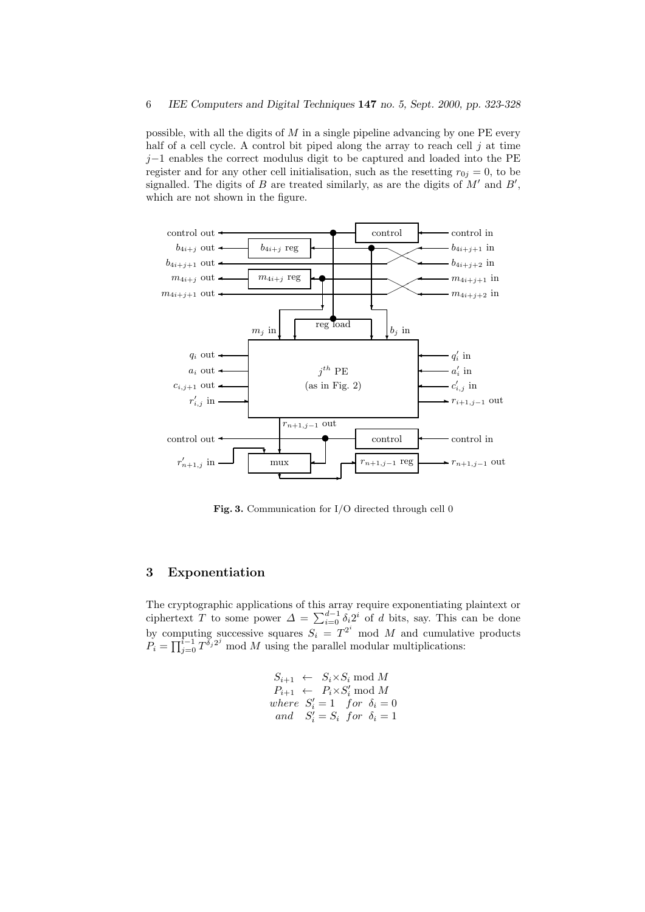possible, with all the digits of  $M$  in a single pipeline advancing by one PE every half of a cell cycle. A control bit piped along the array to reach cell  $j$  at time  $j-1$  enables the correct modulus digit to be captured and loaded into the PE register and for any other cell initialisation, such as the resetting  $r_{0j} = 0$ , to be signalled. The digits of B are treated similarly, as are the digits of  $M'$  and  $B'$ , which are not shown in the figure.



Fig. 3. Communication for I/O directed through cell 0

# 3 Exponentiation

The cryptographic applications of this array require exponentiating plaintext or ciphertext T to some power  $\Delta = \sum_{i=0}^{d-1} \delta_i 2^i$  of d bits, say. This can be done by computing successive squares  $S_i = T^{2^i} \mod M$  and cumulative products  $P_i = \prod_{j=0}^{i-1} T^{\delta_j 2^j}$  mod M using the parallel modular multiplications:

$$
S_{i+1} \leftarrow S_i \times S_i \mod M
$$
  
\n
$$
P_{i+1} \leftarrow P_i \times S'_i \mod M
$$
  
\nwhere  $S'_i = 1$  for  $\delta_i = 0$   
\nand  $S'_i = S_i$  for  $\delta_i = 1$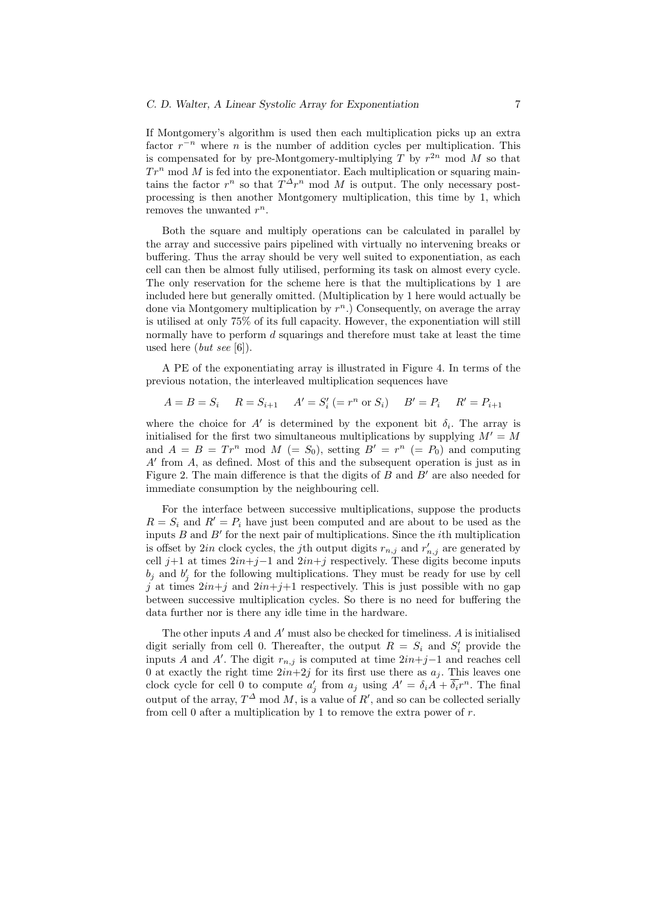If Montgomery's algorithm is used then each multiplication picks up an extra factor  $r^{-n}$  where n is the number of addition cycles per multiplication. This is compensated for by pre-Montgomery-multiplying T by  $r^{2n}$  mod M so that  $Tr^{n}$  mod M is fed into the exponentiator. Each multiplication or squaring maintains the factor  $r^n$  so that  $T^{\Delta}r^n$  mod M is output. The only necessary postprocessing is then another Montgomery multiplication, this time by 1, which removes the unwanted  $r^n$ .

Both the square and multiply operations can be calculated in parallel by the array and successive pairs pipelined with virtually no intervening breaks or buffering. Thus the array should be very well suited to exponentiation, as each cell can then be almost fully utilised, performing its task on almost every cycle. The only reservation for the scheme here is that the multiplications by 1 are included here but generally omitted. (Multiplication by 1 here would actually be done via Montgomery multiplication by  $r^n$ .) Consequently, on average the array is utilised at only 75% of its full capacity. However, the exponentiation will still normally have to perform d squarings and therefore must take at least the time used here  $(\text{but see }[6]).$ 

A PE of the exponentiating array is illustrated in Figure 4. In terms of the previous notation, the interleaved multiplication sequences have

 $A = B = S_i$   $R = S_{i+1}$   $A' = S'_i$  (=  $r^n$  or  $S_i$ )  $B' = P_i$   $R' = P_{i+1}$ 

where the choice for  $A'$  is determined by the exponent bit  $\delta_i$ . The array is initialised for the first two simultaneous multiplications by supplying  $M' = M$ and  $A = B = Tr^n \mod M$  (=  $S_0$ ), setting  $B' = r^n$  (=  $P_0$ ) and computing  $A'$  from  $A$ , as defined. Most of this and the subsequent operation is just as in Figure 2. The main difference is that the digits of  $B$  and  $B'$  are also needed for immediate consumption by the neighbouring cell.

For the interface between successive multiplications, suppose the products  $R = S_i$  and  $R' = P_i$  have just been computed and are about to be used as the inputs  $B$  and  $B'$  for the next pair of multiplications. Since the *i*th multiplication is offset by 2*in* clock cycles, the *j*th output digits  $r_{n,j}$  and  $r'_{n,j}$  are generated by cell j+1 at times  $2in+j-1$  and  $2in+j$  respectively. These digits become inputs  $b_j$  and  $b'_j$  for the following multiplications. They must be ready for use by cell j at times  $2in+j$  and  $2in+j+1$  respectively. This is just possible with no gap between successive multiplication cycles. So there is no need for buffering the data further nor is there any idle time in the hardware.

The other inputs  $A$  and  $A'$  must also be checked for timeliness.  $A$  is initialised digit serially from cell 0. Thereafter, the output  $R = S_i$  and  $S'_i$  provide the inputs A and A'. The digit  $r_{n,j}$  is computed at time  $2in+j-1$  and reaches cell 0 at exactly the right time  $2in+2j$  for its first use there as  $a_j$ . This leaves one clock cycle for cell 0 to compute  $a'_j$  from  $a_j$  using  $A' = \delta_i A + \overline{\delta_i} r^n$ . The final output of the array,  $T^{\Delta}$  mod M, is a value of R', and so can be collected serially from cell 0 after a multiplication by 1 to remove the extra power of  $r$ .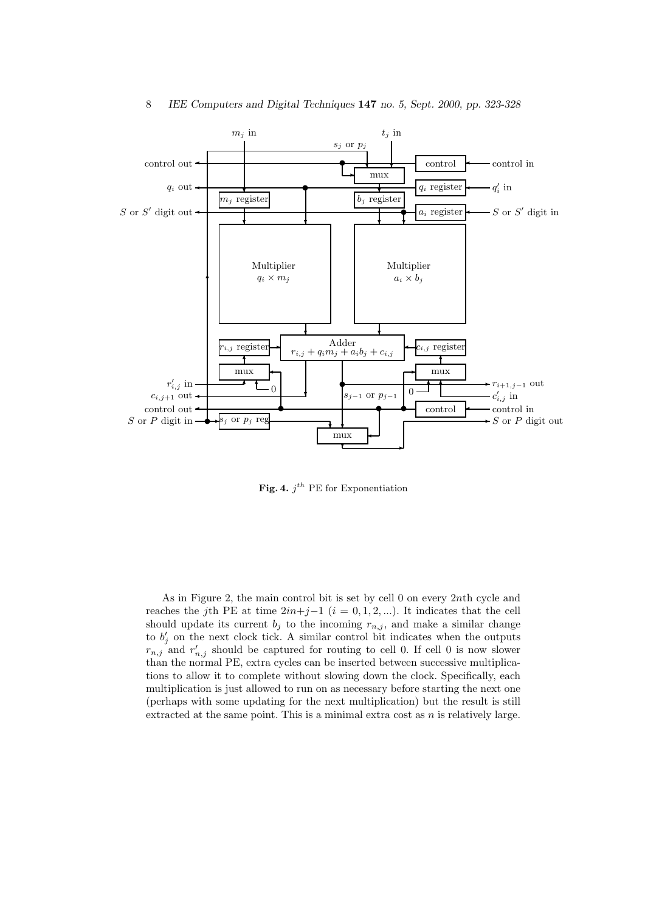

Fig. 4.  $j^{th}$  PE for Exponentiation

As in Figure 2, the main control bit is set by cell 0 on every 2nth cycle and reaches the jth PE at time  $2in+j-1$  (i = 0, 1, 2, ...). It indicates that the cell should update its current  $b_j$  to the incoming  $r_{n,j}$ , and make a similar change to  $b'_j$  on the next clock tick. A similar control bit indicates when the outputs  $r_{n,j}$  and  $r'_{n,j}$  should be captured for routing to cell 0. If cell 0 is now slower than the normal PE, extra cycles can be inserted between successive multiplications to allow it to complete without slowing down the clock. Specifically, each multiplication is just allowed to run on as necessary before starting the next one (perhaps with some updating for the next multiplication) but the result is still extracted at the same point. This is a minimal extra cost as  $n$  is relatively large.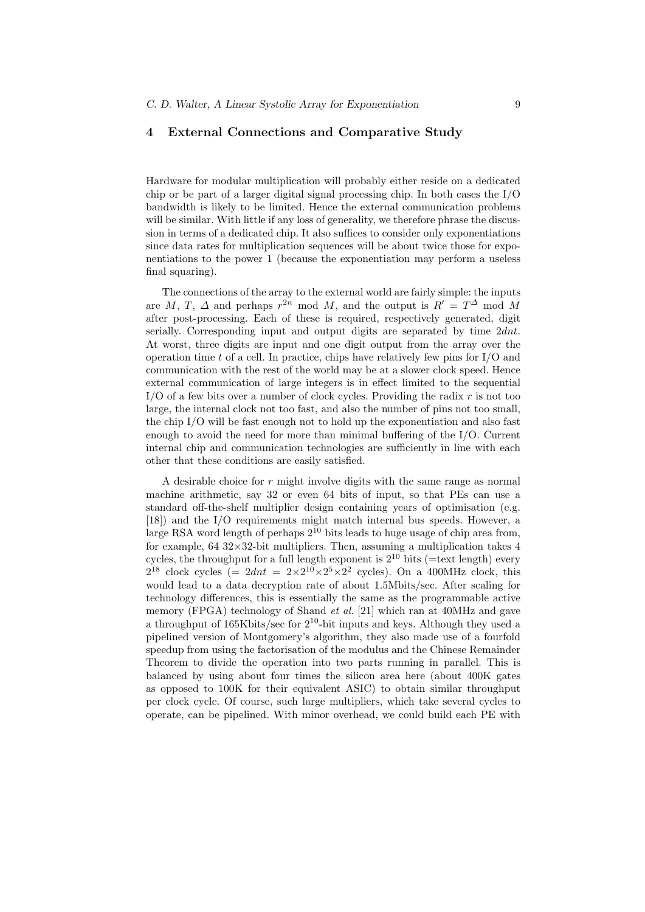# 4 External Connections and Comparative Study

Hardware for modular multiplication will probably either reside on a dedicated chip or be part of a larger digital signal processing chip. In both cases the I/O bandwidth is likely to be limited. Hence the external communication problems will be similar. With little if any loss of generality, we therefore phrase the discussion in terms of a dedicated chip. It also suffices to consider only exponentiations since data rates for multiplication sequences will be about twice those for exponentiations to the power 1 (because the exponentiation may perform a useless final squaring).

The connections of the array to the external world are fairly simple: the inputs are M, T,  $\Delta$  and perhaps  $r^{2n}$  mod M, and the output is  $R' = T^{\Delta}$  mod M after post-processing. Each of these is required, respectively generated, digit serially. Corresponding input and output digits are separated by time  $2dnt$ . At worst, three digits are input and one digit output from the array over the operation time t of a cell. In practice, chips have relatively few pins for  $I/O$  and communication with the rest of the world may be at a slower clock speed. Hence external communication of large integers is in effect limited to the sequential I/O of a few bits over a number of clock cycles. Providing the radix  $r$  is not too large, the internal clock not too fast, and also the number of pins not too small, the chip I/O will be fast enough not to hold up the exponentiation and also fast enough to avoid the need for more than minimal buffering of the I/O. Current internal chip and communication technologies are sufficiently in line with each other that these conditions are easily satisfied.

A desirable choice for  $r$  might involve digits with the same range as normal machine arithmetic, say 32 or even 64 bits of input, so that PEs can use a standard off-the-shelf multiplier design containing years of optimisation (e.g. [18]) and the I/O requirements might match internal bus speeds. However, a large RSA word length of perhaps  $2^{10}$  bits leads to huge usage of chip area from, for example,  $64 \frac{32 \times 32 \text{-bit multipliers}}{20 \times 32 \text{ bit multipliers}}$  Then, assuming a multiplication takes 4 cycles, the throughput for a full length exponent is  $2^{10}$  bits (=text length) every  $2^{18}$  clock cycles (=  $2dnt = 2 \times 2^{10} \times 2^5 \times 2^2$  cycles). On a 400MHz clock, this would lead to a data decryption rate of about 1.5Mbits/sec. After scaling for technology differences, this is essentially the same as the programmable active memory (FPGA) technology of Shand *et al.* [21] which ran at 40MHz and gave a throughput of  $165Kbits/sec$  for  $2^{10}$ -bit inputs and keys. Although they used a pipelined version of Montgomery's algorithm, they also made use of a fourfold speedup from using the factorisation of the modulus and the Chinese Remainder Theorem to divide the operation into two parts running in parallel. This is balanced by using about four times the silicon area here (about 400K gates as opposed to 100K for their equivalent ASIC) to obtain similar throughput per clock cycle. Of course, such large multipliers, which take several cycles to operate, can be pipelined. With minor overhead, we could build each PE with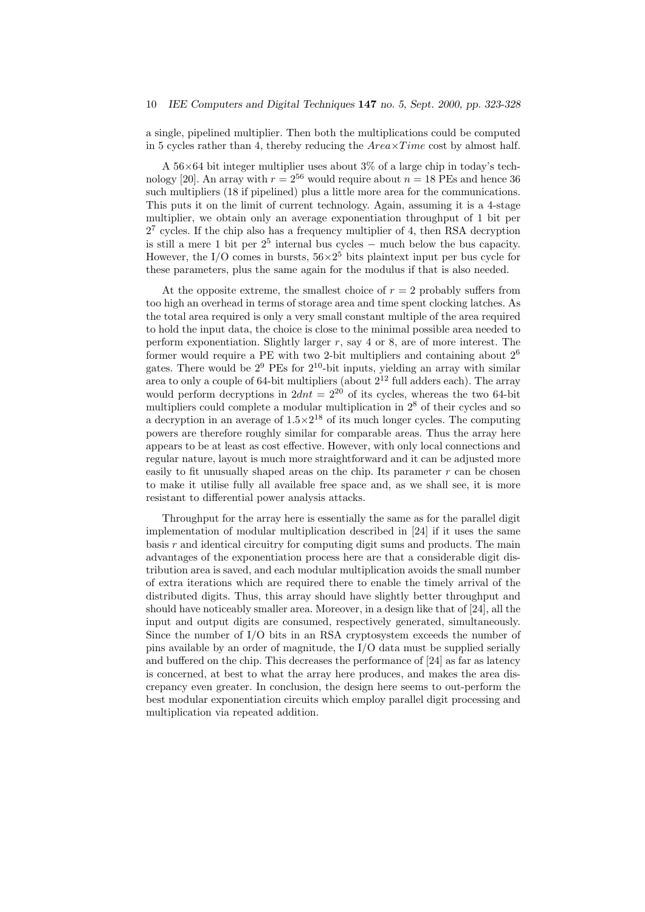a single, pipelined multiplier. Then both the multiplications could be computed in 5 cycles rather than 4, thereby reducing the  $Area \times Time$  cost by almost half.

A  $56\times64$  bit integer multiplier uses about 3% of a large chip in today's technology [20]. An array with  $r = 2^{56}$  would require about  $n = 18$  PEs and hence 36 such multipliers (18 if pipelined) plus a little more area for the communications. This puts it on the limit of current technology. Again, assuming it is a 4-stage multiplier, we obtain only an average exponentiation throughput of 1 bit per  $2<sup>7</sup>$  cycles. If the chip also has a frequency multiplier of 4, then RSA decryption is still a mere 1 bit per  $2^5$  internal bus cycles – much below the bus capacity. However, the I/O comes in bursts,  $56 \times 2^5$  bits plaintext input per bus cycle for these parameters, plus the same again for the modulus if that is also needed.

At the opposite extreme, the smallest choice of  $r = 2$  probably suffers from too high an overhead in terms of storage area and time spent clocking latches. As the total area required is only a very small constant multiple of the area required to hold the input data, the choice is close to the minimal possible area needed to perform exponentiation. Slightly larger  $r$ , say 4 or 8, are of more interest. The former would require a PE with two 2-bit multipliers and containing about  $2^6$ gates. There would be  $2^9$  PEs for  $2^{10}$ -bit inputs, yielding an array with similar area to only a couple of 64-bit multipliers (about  $2^{12}$  full adders each). The array would perform decryptions in  $2dn = 2^{20}$  of its cycles, whereas the two 64-bit multipliers could complete a modular multiplication in  $2<sup>8</sup>$  of their cycles and so a decryption in an average of  $1.5 \times 2^{18}$  of its much longer cycles. The computing powers are therefore roughly similar for comparable areas. Thus the array here appears to be at least as cost effective. However, with only local connections and regular nature, layout is much more straightforward and it can be adjusted more easily to fit unusually shaped areas on the chip. Its parameter  $r$  can be chosen to make it utilise fully all available free space and, as we shall see, it is more resistant to differential power analysis attacks.

Throughput for the array here is essentially the same as for the parallel digit implementation of modular multiplication described in [24] if it uses the same basis r and identical circuitry for computing digit sums and products. The main advantages of the exponentiation process here are that a considerable digit distribution area is saved, and each modular multiplication avoids the small number of extra iterations which are required there to enable the timely arrival of the distributed digits. Thus, this array should have slightly better throughput and should have noticeably smaller area. Moreover, in a design like that of [24], all the input and output digits are consumed, respectively generated, simultaneously. Since the number of I/O bits in an RSA cryptosystem exceeds the number of pins available by an order of magnitude, the I/O data must be supplied serially and buffered on the chip. This decreases the performance of [24] as far as latency is concerned, at best to what the array here produces, and makes the area discrepancy even greater. In conclusion, the design here seems to out-perform the best modular exponentiation circuits which employ parallel digit processing and multiplication via repeated addition.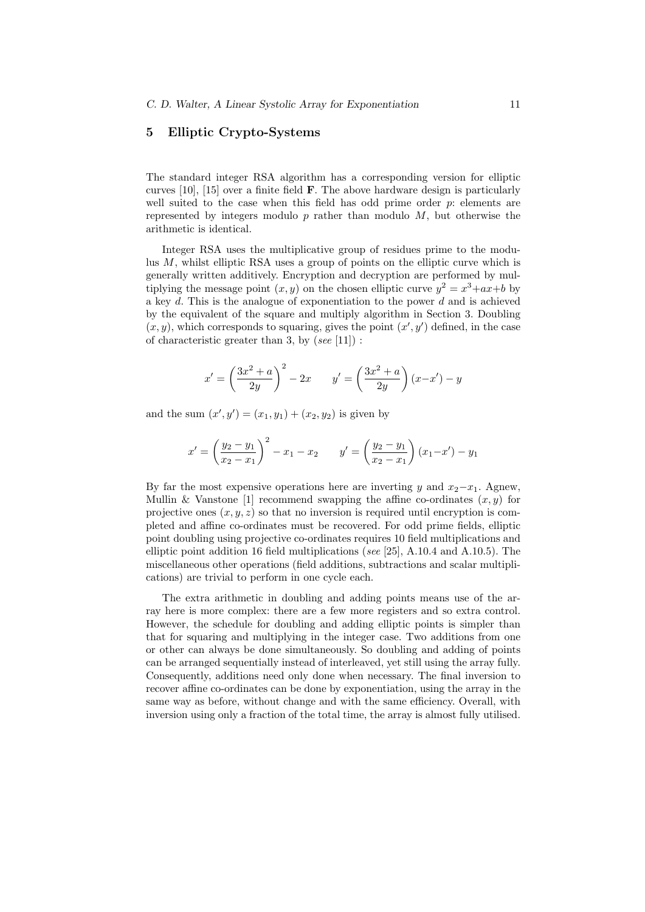# 5 Elliptic Crypto-Systems

The standard integer RSA algorithm has a corresponding version for elliptic curves  $[10]$ ,  $[15]$  over a finite field  $\bf{F}$ . The above hardware design is particularly well suited to the case when this field has odd prime order  $p$ : elements are represented by integers modulo  $p$  rather than modulo  $M$ , but otherwise the arithmetic is identical.

Integer RSA uses the multiplicative group of residues prime to the modulus M, whilst elliptic RSA uses a group of points on the elliptic curve which is generally written additively. Encryption and decryption are performed by multiplying the message point  $(x, y)$  on the chosen elliptic curve  $y^2 = x^3 + ax + b$  by a key  $d$ . This is the analogue of exponentiation to the power  $d$  and is achieved by the equivalent of the square and multiply algorithm in Section 3. Doubling  $(x, y)$ , which corresponds to squaring, gives the point  $(x', y')$  defined, in the case of characteristic greater than 3, by  $(see [11])$ :

$$
x' = \left(\frac{3x^2 + a}{2y}\right)^2 - 2x \qquad y' = \left(\frac{3x^2 + a}{2y}\right)(x - x') - y
$$

and the sum  $(x', y') = (x_1, y_1) + (x_2, y_2)$  is given by

$$
x' = \left(\frac{y_2 - y_1}{x_2 - x_1}\right)^2 - x_1 - x_2 \qquad y' = \left(\frac{y_2 - y_1}{x_2 - x_1}\right)(x_1 - x') - y_1
$$

By far the most expensive operations here are inverting y and  $x_2-x_1$ . Agnew, Mullin & Vanstone [1] recommend swapping the affine co-ordinates  $(x, y)$  for projective ones  $(x, y, z)$  so that no inversion is required until encryption is completed and affine co-ordinates must be recovered. For odd prime fields, elliptic point doubling using projective co-ordinates requires 10 field multiplications and elliptic point addition 16 field multiplications (see [25], A.10.4 and A.10.5). The miscellaneous other operations (field additions, subtractions and scalar multiplications) are trivial to perform in one cycle each.

The extra arithmetic in doubling and adding points means use of the array here is more complex: there are a few more registers and so extra control. However, the schedule for doubling and adding elliptic points is simpler than that for squaring and multiplying in the integer case. Two additions from one or other can always be done simultaneously. So doubling and adding of points can be arranged sequentially instead of interleaved, yet still using the array fully. Consequently, additions need only done when necessary. The final inversion to recover affine co-ordinates can be done by exponentiation, using the array in the same way as before, without change and with the same efficiency. Overall, with inversion using only a fraction of the total time, the array is almost fully utilised.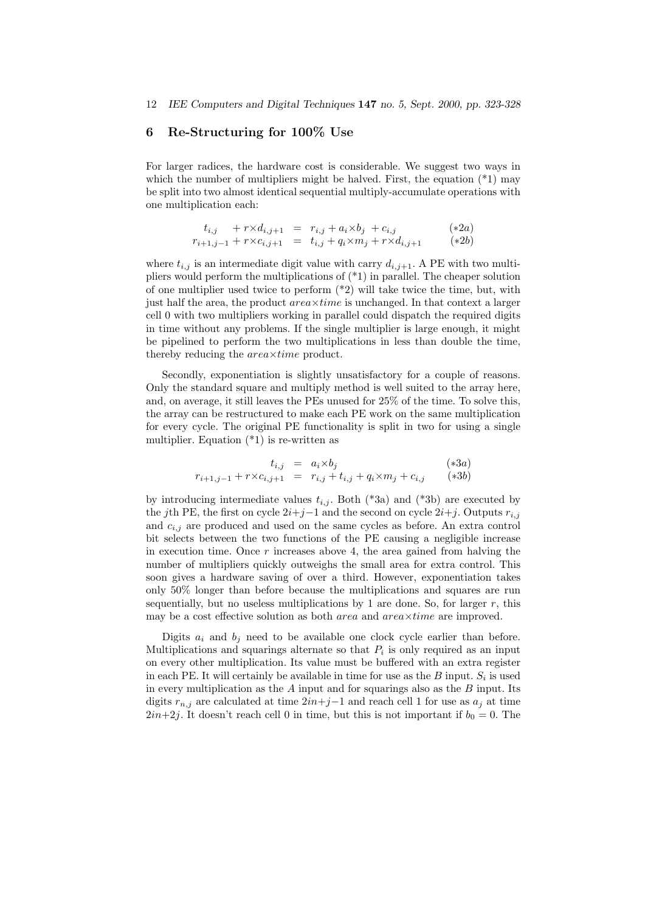### 6 Re-Structuring for 100% Use

For larger radices, the hardware cost is considerable. We suggest two ways in which the number of multipliers might be halved. First, the equation  $(*1)$  may be split into two almost identical sequential multiply-accumulate operations with one multiplication each:

$$
t_{i,j} + r \times d_{i,j+1} = r_{i,j} + a_i \times b_j + c_{i,j}
$$
 (\*)  
\n
$$
r_{i+1,j-1} + r \times c_{i,j+1} = t_{i,j} + q_i \times m_j + r \times d_{i,j+1}
$$
 (\*)<sup>2a</sup>

where  $t_{i,j}$  is an intermediate digit value with carry  $d_{i,j+1}$ . A PE with two multipliers would perform the multiplications of (\*1) in parallel. The cheaper solution of one multiplier used twice to perform (\*2) will take twice the time, but, with just half the area, the product  $area\times time$  is unchanged. In that context a larger cell 0 with two multipliers working in parallel could dispatch the required digits in time without any problems. If the single multiplier is large enough, it might be pipelined to perform the two multiplications in less than double the time, thereby reducing the *area*×time product.

Secondly, exponentiation is slightly unsatisfactory for a couple of reasons. Only the standard square and multiply method is well suited to the array here, and, on average, it still leaves the PEs unused for 25% of the time. To solve this, the array can be restructured to make each PE work on the same multiplication for every cycle. The original PE functionality is split in two for using a single multiplier. Equation (\*1) is re-written as

$$
t_{i,j} = a_i \times b_j \qquad (*)3a)
$$
  

$$
r_{i+1,j-1} + r \times c_{i,j+1} = r_{i,j} + t_{i,j} + q_i \times m_j + c_{i,j} \qquad (*)3b)
$$

by introducing intermediate values  $t_{i,j}$ . Both (\*3a) and (\*3b) are executed by the jth PE, the first on cycle  $2i+j-1$  and the second on cycle  $2i+j$ . Outputs  $r_{i,j}$ and  $c_{i,j}$  are produced and used on the same cycles as before. An extra control bit selects between the two functions of the PE causing a negligible increase in execution time. Once  $r$  increases above 4, the area gained from halving the number of multipliers quickly outweighs the small area for extra control. This soon gives a hardware saving of over a third. However, exponentiation takes only 50% longer than before because the multiplications and squares are run sequentially, but no useless multiplications by 1 are done. So, for larger  $r$ , this may be a cost effective solution as both  $area$  and  $area \times time$  are improved.

Digits  $a_i$  and  $b_j$  need to be available one clock cycle earlier than before. Multiplications and squarings alternate so that  $P_i$  is only required as an input on every other multiplication. Its value must be buffered with an extra register in each PE. It will certainly be available in time for use as the  $B$  input.  $S_i$  is used in every multiplication as the  $A$  input and for squarings also as the  $B$  input. Its digits  $r_{n,j}$  are calculated at time  $2in+j-1$  and reach cell 1 for use as  $a_j$  at time  $2in+2j$ . It doesn't reach cell 0 in time, but this is not important if  $b_0 = 0$ . The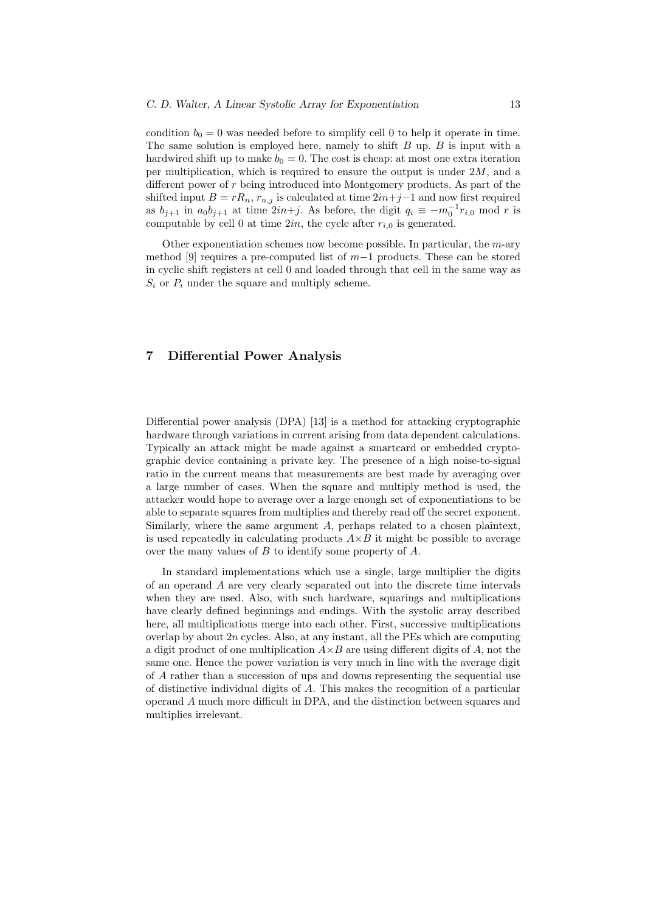condition  $b_0 = 0$  was needed before to simplify cell 0 to help it operate in time. The same solution is employed here, namely to shift  $B$  up.  $B$  is input with a hardwired shift up to make  $b_0 = 0$ . The cost is cheap: at most one extra iteration per multiplication, which is required to ensure the output is under  $2M$ , and a different power of r being introduced into Montgomery products. As part of the shifted input  $B = rR_n$ ,  $r_{n,j}$  is calculated at time  $2in+j-1$  and now first required as  $b_{j+1}$  in  $a_0b_{j+1}$  at time  $2in+j$ . As before, the digit  $q_i \equiv -m_0^{-1}r_{i,0}$  mod r is computable by cell 0 at time  $2in$ , the cycle after  $r_{i,0}$  is generated.

Other exponentiation schemes now become possible. In particular, the  $m$ -ary method [9] requires a pre-computed list of m−1 products. These can be stored in cyclic shift registers at cell 0 and loaded through that cell in the same way as  $S_i$  or  $P_i$  under the square and multiply scheme.

# 7 Differential Power Analysis

Differential power analysis (DPA) [13] is a method for attacking cryptographic hardware through variations in current arising from data dependent calculations. Typically an attack might be made against a smartcard or embedded cryptographic device containing a private key. The presence of a high noise-to-signal ratio in the current means that measurements are best made by averaging over a large number of cases. When the square and multiply method is used, the attacker would hope to average over a large enough set of exponentiations to be able to separate squares from multiplies and thereby read off the secret exponent. Similarly, where the same argument A, perhaps related to a chosen plaintext, is used repeatedly in calculating products  $A \times B$  it might be possible to average over the many values of B to identify some property of A.

In standard implementations which use a single, large multiplier the digits of an operand A are very clearly separated out into the discrete time intervals when they are used. Also, with such hardware, squarings and multiplications have clearly defined beginnings and endings. With the systolic array described here, all multiplications merge into each other. First, successive multiplications overlap by about  $2n$  cycles. Also, at any instant, all the PEs which are computing a digit product of one multiplication  $A \times B$  are using different digits of A, not the same one. Hence the power variation is very much in line with the average digit of A rather than a succession of ups and downs representing the sequential use of distinctive individual digits of A. This makes the recognition of a particular operand A much more difficult in DPA, and the distinction between squares and multiplies irrelevant.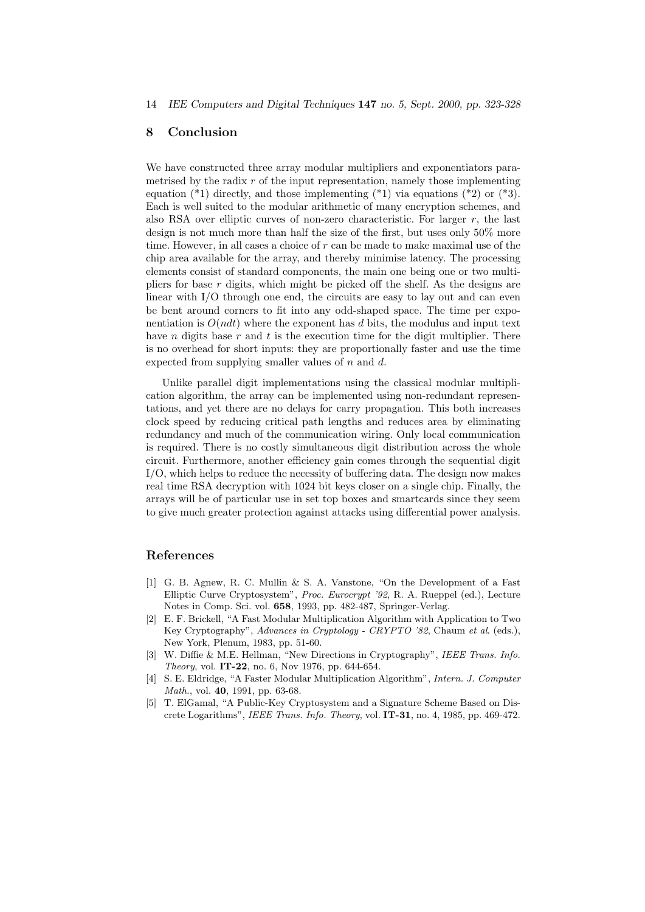14 IEE Computers and Digital Techniques 147 no. 5, Sept. 2000, pp. 323-328

#### 8 Conclusion

We have constructed three array modular multipliers and exponentiators parametrised by the radix  $r$  of the input representation, namely those implementing equation  $(*1)$  directly, and those implementing  $(*1)$  via equations  $(*2)$  or  $(*3)$ . Each is well suited to the modular arithmetic of many encryption schemes, and also RSA over elliptic curves of non-zero characteristic. For larger  $r$ , the last design is not much more than half the size of the first, but uses only 50% more time. However, in all cases a choice of  $r$  can be made to make maximal use of the chip area available for the array, and thereby minimise latency. The processing elements consist of standard components, the main one being one or two multipliers for base  $r$  digits, which might be picked off the shelf. As the designs are linear with I/O through one end, the circuits are easy to lay out and can even be bent around corners to fit into any odd-shaped space. The time per exponentiation is  $O(ndt)$  where the exponent has d bits, the modulus and input text have *n* digits base  $r$  and  $t$  is the execution time for the digit multiplier. There is no overhead for short inputs: they are proportionally faster and use the time expected from supplying smaller values of  $n$  and  $d$ .

Unlike parallel digit implementations using the classical modular multiplication algorithm, the array can be implemented using non-redundant representations, and yet there are no delays for carry propagation. This both increases clock speed by reducing critical path lengths and reduces area by eliminating redundancy and much of the communication wiring. Only local communication is required. There is no costly simultaneous digit distribution across the whole circuit. Furthermore, another efficiency gain comes through the sequential digit I/O, which helps to reduce the necessity of buffering data. The design now makes real time RSA decryption with 1024 bit keys closer on a single chip. Finally, the arrays will be of particular use in set top boxes and smartcards since they seem to give much greater protection against attacks using differential power analysis.

#### References

- [1] G. B. Agnew, R. C. Mullin & S. A. Vanstone, "On the Development of a Fast Elliptic Curve Cryptosystem", Proc. Eurocrypt '92, R. A. Rueppel (ed.), Lecture Notes in Comp. Sci. vol. 658, 1993, pp. 482-487, Springer-Verlag.
- [2] E. F. Brickell, "A Fast Modular Multiplication Algorithm with Application to Two Key Cryptography", Advances in Cryptology - CRYPTO '82, Chaum et al. (eds.), New York, Plenum, 1983, pp. 51-60.
- [3] W. Diffie & M.E. Hellman, "New Directions in Cryptography", IEEE Trans. Info. Theory, vol. IT-22, no. 6, Nov 1976, pp. 644-654.
- [4] S. E. Eldridge, "A Faster Modular Multiplication Algorithm", Intern. J. Computer Math., vol. 40, 1991, pp. 63-68.
- [5] T. ElGamal, "A Public-Key Cryptosystem and a Signature Scheme Based on Discrete Logarithms", IEEE Trans. Info. Theory, vol. IT-31, no. 4, 1985, pp. 469-472.